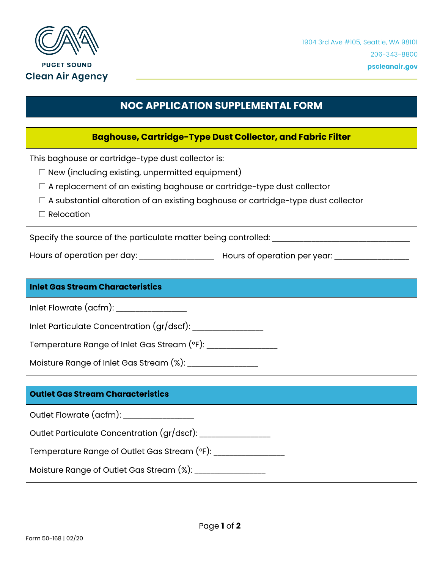

# **NOC APPLICATION SUPPLEMENTAL FORM**

### **Baghouse, Cartridge-Type Dust Collector, and Fabric Filter**

This baghouse or cartridge-type dust collector is:

- $\Box$  New (including existing, unpermitted equipment)
- □ A replacement of an existing baghouse or cartridge-type dust collector
- $\Box$  A substantial alteration of an existing baghouse or cartridge-type dust collector
- □ Relocation

Specify the source of the particulate matter being controlled: \_\_\_\_\_\_\_\_\_\_\_\_\_\_\_\_\_

Hours of operation per day: \_\_\_\_\_\_\_\_\_\_\_\_\_\_\_\_\_\_\_ Hours of operation per year: \_\_\_\_\_\_\_\_\_\_\_\_\_\_\_\_\_\_\_

#### **Inlet Gas Stream Characteristics**

Inlet Flowrate (acfm): \_\_\_\_\_\_\_\_\_\_\_\_\_\_\_\_\_\_

Inlet Particulate Concentration (gr/dscf): \_\_\_\_\_\_\_\_\_\_\_\_\_\_\_\_\_\_

Temperature Range of Inlet Gas Stream (°F): \_\_\_\_\_\_\_\_\_\_\_\_\_\_\_\_\_\_

Moisture Range of Inlet Gas Stream (%):

#### **Outlet Gas Stream Characteristics**

Outlet Flowrate (acfm): \_\_\_\_\_\_\_\_\_\_\_\_\_\_\_\_\_\_

Outlet Particulate Concentration (gr/dscf): \_\_\_\_\_\_\_\_\_\_\_\_\_\_\_\_\_\_

Temperature Range of Outlet Gas Stream (°F):

Moisture Range of Outlet Gas Stream (%): \_\_\_\_\_\_\_\_\_\_\_\_\_\_\_\_\_\_